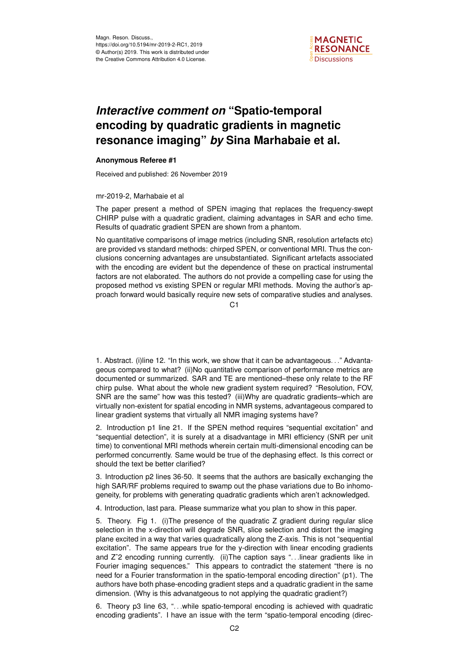

## *Interactive comment on* **"Spatio-temporal encoding by quadratic gradients in magnetic resonance imaging"** *by* **Sina Marhabaie et al.**

## **Anonymous Referee #1**

Received and published: 26 November 2019

## mr-2019-2, Marhabaie et al

The paper present a method of SPEN imaging that replaces the frequency-swept CHIRP pulse with a quadratic gradient, claiming advantages in SAR and echo time. Results of quadratic gradient SPEN are shown from a phantom.

No quantitative comparisons of image metrics (including SNR, resolution artefacts etc) are provided vs standard methods: chirped SPEN, or conventional MRI. Thus the conclusions concerning advantages are unsubstantiated. Significant artefacts associated with the encoding are evident but the dependence of these on practical instrumental factors are not elaborated. The authors do not provide a compelling case for using the proposed method vs existing SPEN or regular MRI methods. Moving the author's approach forward would basically require new sets of comparative studies and analyses.

 $C<sub>1</sub>$ 

1. Abstract. (i)line 12. "In this work, we show that it can be advantageous. . ." Advantageous compared to what? (ii)No quantitative comparison of performance metrics are documented or summarized. SAR and TE are mentioned–these only relate to the RF chirp pulse. What about the whole new gradient system required? "Resolution, FOV, SNR are the same" how was this tested? (iii)Why are quadratic gradients–which are virtually non-existent for spatial encoding in NMR systems, advantageous compared to linear gradient systems that virtually all NMR imaging systems have?

2. Introduction p1 line 21. If the SPEN method requires "sequential excitation" and "sequential detection", it is surely at a disadvantage in MRI efficiency (SNR per unit time) to conventional MRI methods wherein certain multi-dimensional encoding can be performed concurrently. Same would be true of the dephasing effect. Is this correct or should the text be better clarified?

3. Introduction p2 lines 36-50. It seems that the authors are basically exchanging the high SAR/RF problems required to swamp out the phase variations due to Bo inhomogeneity, for problems with generating quadratic gradients which aren't acknowledged.

4. Introduction, last para. Please summarize what you plan to show in this paper.

5. Theory. Fig 1. (i)The presence of the quadratic Z gradient during regular slice selection in the x-direction will degrade SNR, slice selection and distort the imaging plane excited in a way that varies quadratically along the Z-axis. This is not "sequential excitation". The same appears true for the y-direction with linear encoding gradients and Z<sup>^</sup>2 encoding running currently. (ii)The caption says "...linear gradients like in Fourier imaging sequences." This appears to contradict the statement "there is no need for a Fourier transformation in the spatio-temporal encoding direction" (p1). The authors have both phase-encoding gradient steps and a quadratic gradient in the same dimension. (Why is this advanatgeous to not applying the quadratic gradient?)

6. Theory p3 line 63, ". . .while spatio-temporal encoding is achieved with quadratic encoding gradients". I have an issue with the term "spatio-temporal encoding (direc